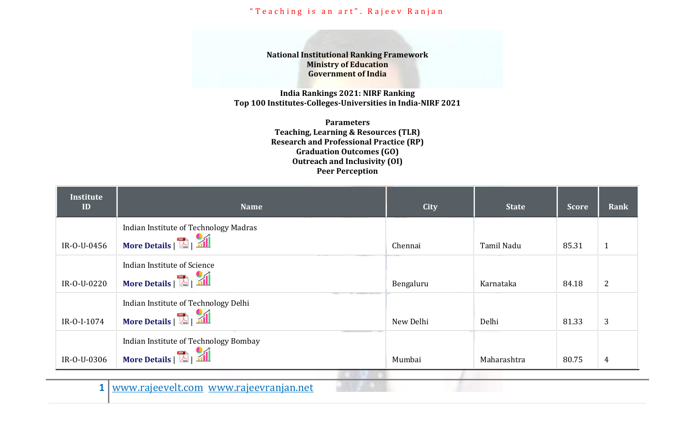**National Institutional Ranking Framework Ministry of Education Government of India**

**India Rankings 2021: NIRF Ranking Top 100 Institutes-Colleges-Universities in India-NIRF 2021**

> **Parameters Teaching, Learning & Resources (TLR) Research and Professional Practice (RP) Graduation Outcomes (GO) Outreach and Inclusivity (OI) Peer Perception**

| <b>Institute</b><br>ID | <b>Name</b>                           | <b>City</b> | <b>State</b> | <b>Score</b> | Rank           |
|------------------------|---------------------------------------|-------------|--------------|--------------|----------------|
|                        | Indian Institute of Technology Madras |             |              |              |                |
| IR-0-U-0456            | More Details   <b>All</b>             | Chennai     | Tamil Nadu   | 85.31        | $\mathbf{1}$   |
|                        | Indian Institute of Science           |             |              |              |                |
| IR-0-U-0220            | More Details   <b>All</b>             | Bengaluru   | Karnataka    | 84.18        | $\overline{2}$ |
|                        | Indian Institute of Technology Delhi  |             |              |              |                |
| IR-0-I-1074            | More Details   <b>All</b>             | New Delhi   | Delhi        | 81.33        | 3              |
|                        | Indian Institute of Technology Bombay |             |              |              |                |
| IR-0-U-0306            | More Details   <b>Kay 1999</b>        | Mumbai      | Maharashtra  | 80.75        | 4              |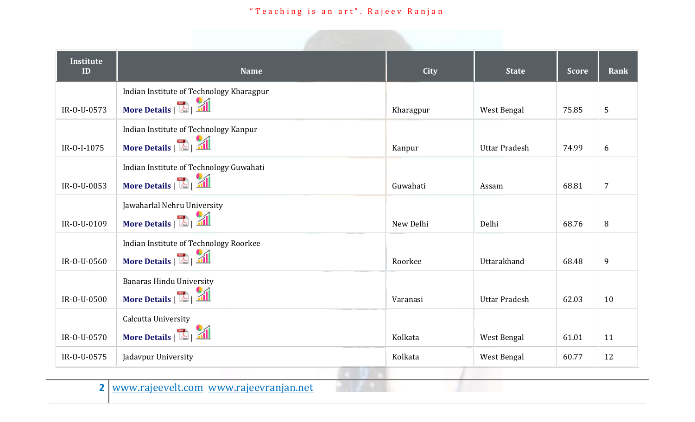| <b>Institute</b><br>ID | <b>Name</b>                              | City      | <b>State</b>         | <b>Score</b> | Rank             |
|------------------------|------------------------------------------|-----------|----------------------|--------------|------------------|
|                        | Indian Institute of Technology Kharagpur |           |                      |              |                  |
| IR-0-U-0573            | More Details   <b>All</b>                | Kharagpur | West Bengal          | 75.85        | 5                |
|                        | Indian Institute of Technology Kanpur    |           |                      |              |                  |
| IR-0-I-1075            | More Details   <b>Kay</b>                | Kanpur    | <b>Uttar Pradesh</b> | 74.99        | 6                |
|                        | Indian Institute of Technology Guwahati  |           |                      |              |                  |
| IR-0-U-0053            | More Details   <b>All</b>                | Guwahati  | Assam                | 68.81        | $\overline{7}$   |
|                        | Jawaharlal Nehru University              |           |                      |              |                  |
| IR-0-U-0109            | More Details   <b>All</b>                | New Delhi | Delhi                | 68.76        | 8                |
|                        | Indian Institute of Technology Roorkee   |           |                      |              |                  |
| IR-0-U-0560            | More Details   <b>Kay</b>                | Roorkee   | Uttarakhand          | 68.48        | $\boldsymbol{9}$ |
|                        | <b>Banaras Hindu University</b>          |           |                      |              |                  |
| IR-0-U-0500            | More Details   <b>All</b>                | Varanasi  | <b>Uttar Pradesh</b> | 62.03        | 10               |
|                        | Calcutta University                      |           |                      |              |                  |
| IR-0-U-0570            | More Details   <b>Kall</b>               | Kolkata   | West Bengal          | 61.01        | 11               |
| IR-0-U-0575            | Jadavpur University                      | Kolkata   | West Bengal          | 60.77        | 12               |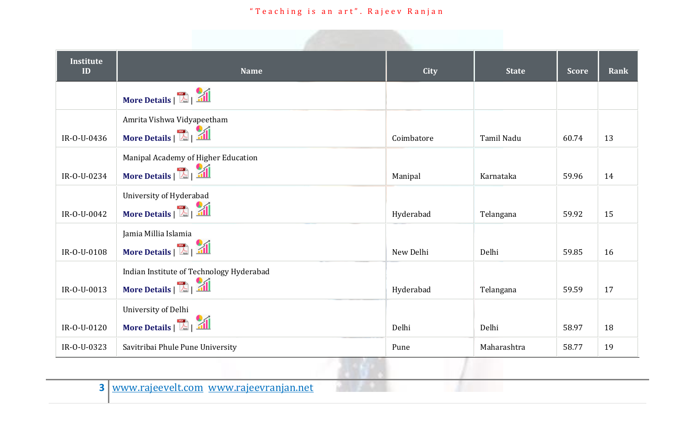| <b>Institute</b><br>ID | <b>Name</b>                                                           | City       | <b>State</b> | <b>Score</b> | Rank |
|------------------------|-----------------------------------------------------------------------|------------|--------------|--------------|------|
|                        | More Details   <b>All</b>                                             |            |              |              |      |
| IR-0-U-0436            | Amrita Vishwa Vidyapeetham<br>More Details   <b>All</b>               | Coimbatore | Tamil Nadu   | 60.74        | 13   |
| IR-0-U-0234            | Manipal Academy of Higher Education<br>More Details   <b>All</b>      | Manipal    | Karnataka    | 59.96        | 14   |
| IR-0-U-0042            | University of Hyderabad<br>More Details   <b>All</b>                  | Hyderabad  | Telangana    | 59.92        | 15   |
| IR-0-U-0108            | Jamia Millia Islamia<br>More Details   <b>All</b>                     | New Delhi  | Delhi        | 59.85        | 16   |
| IR-O-U-0013            | Indian Institute of Technology Hyderabad<br>More Details   <b>All</b> | Hyderabad  | Telangana    | 59.59        | 17   |
| IR-0-U-0120            | University of Delhi<br>More Details   <b>All</b>                      | Delhi      | Delhi        | 58.97        | 18   |
| IR-0-U-0323            | Savitribai Phule Pune University                                      | Pune       | Maharashtra  | 58.77        | 19   |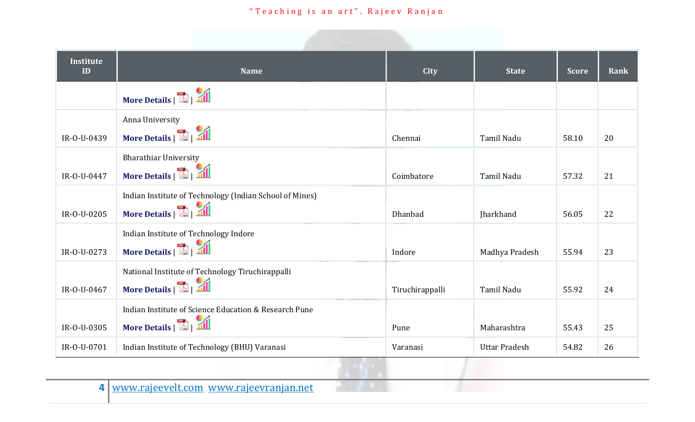| Institute<br>ID | <b>Name</b>                                             | <b>City</b>     | <b>State</b>         | <b>Score</b> | Rank |
|-----------------|---------------------------------------------------------|-----------------|----------------------|--------------|------|
|                 | More Details   <b>All</b>                               |                 |                      |              |      |
|                 | Anna University                                         |                 |                      |              |      |
| IR-0-U-0439     | More Details   <b>All</b>                               | Chennai         | Tamil Nadu           | 58.10        | 20   |
|                 | <b>Bharathiar University</b>                            |                 |                      |              |      |
| IR-0-U-0447     | More Details   <b>All</b>                               | Coimbatore      | <b>Tamil Nadu</b>    | 57.32        | 21   |
|                 | Indian Institute of Technology (Indian School of Mines) |                 |                      |              |      |
| IR-0-U-0205     | More Details   <b>All</b>                               | Dhanbad         | Jharkhand            | 56.05        | 22   |
|                 | Indian Institute of Technology Indore                   |                 |                      |              |      |
| IR-0-U-0273     | More Details   <b>All</b>                               | Indore          | Madhya Pradesh       | 55.94        | 23   |
|                 | National Institute of Technology Tiruchirappalli        |                 |                      |              |      |
| IR-0-U-0467     | More Details   <b>All</b>                               | Tiruchirappalli | Tamil Nadu           | 55.92        | 24   |
|                 | Indian Institute of Science Education & Research Pune   |                 |                      |              |      |
| IR-0-U-0305     | More Details   <b>All</b>                               | Pune            | Maharashtra          | 55.43        | 25   |
| IR-O-U-0701     | Indian Institute of Technology (BHU) Varanasi           | Varanasi        | <b>Uttar Pradesh</b> | 54.82        | 26   |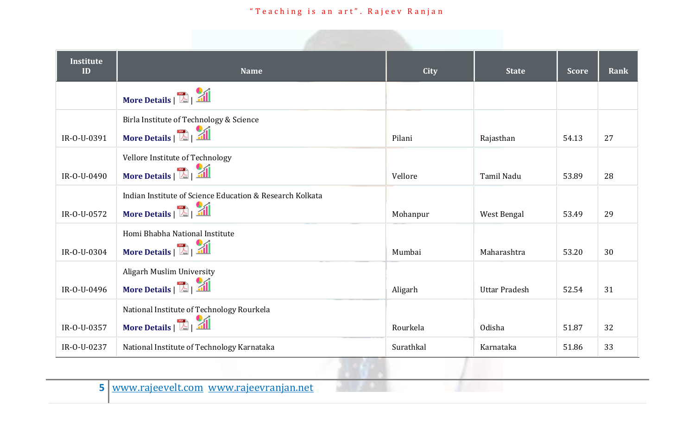| <b>Institute</b><br>ID | <b>Name</b>                                              | <b>City</b> | <b>State</b>         | <b>Score</b> | Rank |
|------------------------|----------------------------------------------------------|-------------|----------------------|--------------|------|
|                        | More Details   <b>All</b>                                |             |                      |              |      |
|                        | Birla Institute of Technology & Science                  |             |                      |              |      |
| IR-0-U-0391            | More Details   <b>All</b>                                | Pilani      | Rajasthan            | 54.13        | 27   |
|                        | Vellore Institute of Technology                          |             |                      |              |      |
| IR-0-U-0490            | More Details   <b>All</b>                                | Vellore     | Tamil Nadu           | 53.89        | 28   |
|                        | Indian Institute of Science Education & Research Kolkata |             |                      |              |      |
| IR-0-U-0572            | More Details   <b>All</b>                                | Mohanpur    | West Bengal          | 53.49        | 29   |
|                        | Homi Bhabha National Institute                           |             |                      |              |      |
| IR-0-U-0304            | More Details   <b>All</b>                                | Mumbai      | Maharashtra          | 53.20        | 30   |
|                        | Aligarh Muslim University                                |             |                      |              |      |
| IR-0-U-0496            | More Details   <b>All</b>                                | Aligarh     | <b>Uttar Pradesh</b> | 52.54        | 31   |
|                        | National Institute of Technology Rourkela                |             |                      |              |      |
| IR-0-U-0357            | More Details   <b>All</b>                                | Rourkela    | Odisha               | 51.87        | 32   |
| IR-0-U-0237            | National Institute of Technology Karnataka               | Surathkal   | Karnataka            | 51.86        | 33   |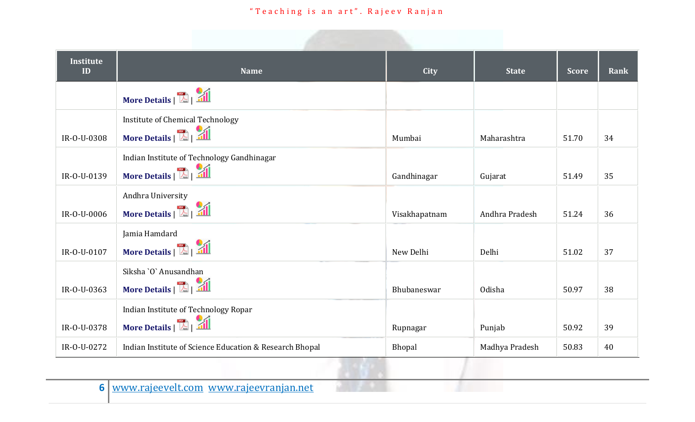| <b>Institute</b><br>ID | <b>Name</b>                                                             | City          | <b>State</b>   | <b>Score</b> | Rank |
|------------------------|-------------------------------------------------------------------------|---------------|----------------|--------------|------|
|                        | More Details   <b>All</b>                                               |               |                |              |      |
| IR-0-U-0308            | <b>Institute of Chemical Technology</b><br>More Details   <b>All</b>    | Mumbai        | Maharashtra    | 51.70        | 34   |
| IR-0-U-0139            | Indian Institute of Technology Gandhinagar<br>More Details   <b>All</b> | Gandhinagar   | Gujarat        | 51.49        | 35   |
| IR-0-U-0006            | Andhra University<br>More Details   <b>Ka</b>   <b>Ka</b>               | Visakhapatnam | Andhra Pradesh | 51.24        | 36   |
| IR-0-U-0107            | Jamia Hamdard<br>More Details   <b>All</b>                              | New Delhi     | Delhi          | 51.02        | 37   |
| IR-0-U-0363            | Siksha `O` Anusandhan<br>More Details   <b>All</b>                      | Bhubaneswar   | Odisha         | 50.97        | 38   |
| IR-0-U-0378            | Indian Institute of Technology Ropar<br>More Details   <b>All</b>       | Rupnagar      | Punjab         | 50.92        | 39   |
| IR-0-U-0272            | Indian Institute of Science Education & Research Bhopal                 | Bhopal        | Madhya Pradesh | 50.83        | 40   |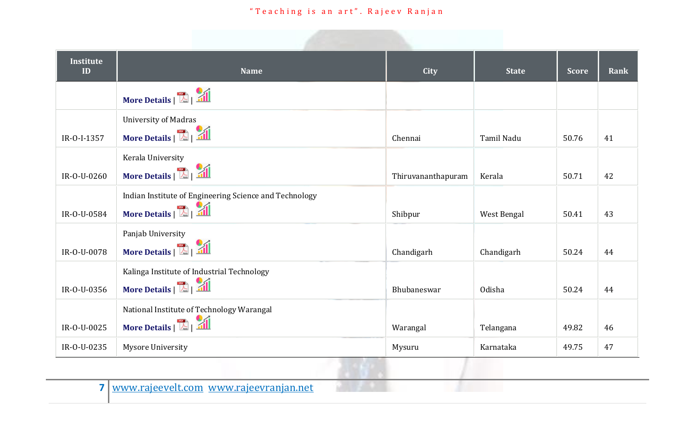| <b>Institute</b><br>ID | <b>Name</b>                                            | <b>City</b>        | <b>State</b> | <b>Score</b> | Rank |
|------------------------|--------------------------------------------------------|--------------------|--------------|--------------|------|
|                        | More Details   <b>All</b>                              |                    |              |              |      |
|                        | <b>University of Madras</b>                            |                    |              |              |      |
| IR-0-I-1357            | More Details   <b>All</b>                              | Chennai            | Tamil Nadu   | 50.76        | 41   |
|                        | Kerala University                                      |                    |              |              |      |
| IR-0-U-0260            | More Details   <b>All</b>                              | Thiruvananthapuram | Kerala       | 50.71        | 42   |
|                        | Indian Institute of Engineering Science and Technology |                    |              |              |      |
| IR-0-U-0584            | More Details   <b>All</b>                              | Shibpur            | West Bengal  | 50.41        | 43   |
|                        | Panjab University                                      |                    |              |              |      |
| IR-0-U-0078            | More Details   <b>All</b>                              | Chandigarh         | Chandigarh   | 50.24        | 44   |
|                        | Kalinga Institute of Industrial Technology             |                    |              |              |      |
| IR-0-U-0356            | More Details   21                                      | Bhubaneswar        | Odisha       | 50.24        | 44   |
|                        | National Institute of Technology Warangal              |                    |              |              |      |
| IR-0-U-0025            | More Details   <b>All</b>                              | Warangal           | Telangana    | 49.82        | 46   |
| IR-0-U-0235            | <b>Mysore University</b>                               | Mysuru             | Karnataka    | 49.75        | 47   |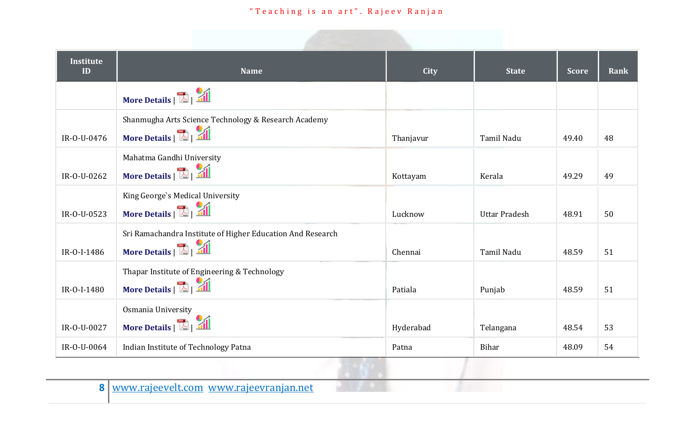| <b>Institute</b><br>ID | <b>Name</b>                                                                                | City      | <b>State</b>         | <b>Score</b> | Rank |
|------------------------|--------------------------------------------------------------------------------------------|-----------|----------------------|--------------|------|
|                        | More Details   <b>All</b>                                                                  |           |                      |              |      |
| IR-0-U-0476            | Shanmugha Arts Science Technology & Research Academy<br>More Details   <b>E</b>   <b>A</b> | Thanjavur | Tamil Nadu           | 49.40        | 48   |
| IR-0-U-0262            | Mahatma Gandhi University<br>More Details   <b>All</b>                                     | Kottayam  | Kerala               | 49.29        | 49   |
| IR-0-U-0523            | King George's Medical University<br>More Details   <b>All</b>                              | Lucknow   | <b>Uttar Pradesh</b> | 48.91        | 50   |
| IR-0-I-1486            | Sri Ramachandra Institute of Higher Education And Research<br>More Details   <b>All</b>    | Chennai   | Tamil Nadu           | 48.59        | 51   |
| IR-0-I-1480            | Thapar Institute of Engineering & Technology<br>More Details   <b>All</b>                  | Patiala   | Punjab               | 48.59        | 51   |
| IR-O-U-0027            | Osmania University<br>More Details   <b>All</b>                                            | Hyderabad | Telangana            | 48.54        | 53   |
| IR-0-U-0064            | Indian Institute of Technology Patna                                                       | Patna     | <b>Bihar</b>         | 48.09        | 54   |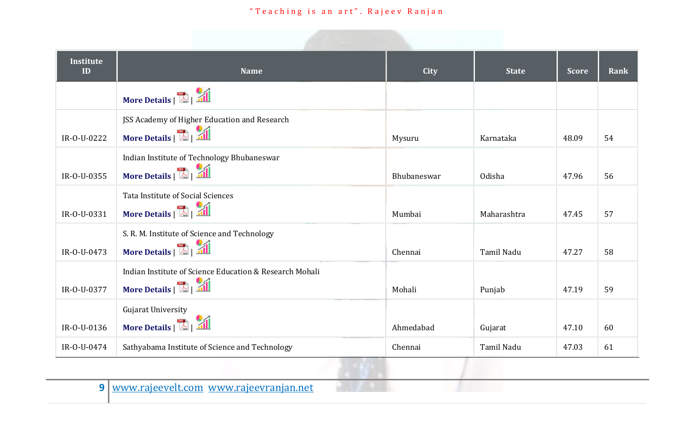| <b>Institute</b><br>ID | <b>Name</b>                                             | <b>City</b> | <b>State</b> | <b>Score</b> | Rank |
|------------------------|---------------------------------------------------------|-------------|--------------|--------------|------|
|                        | More Details   <b>All</b>                               |             |              |              |      |
|                        | JSS Academy of Higher Education and Research            |             |              |              |      |
| IR-0-U-0222            | More Details   <b>E</b>   <b>All</b>                    | Mysuru      | Karnataka    | 48.09        | 54   |
|                        | Indian Institute of Technology Bhubaneswar              |             |              |              |      |
| IR-0-U-0355            | More Details   <b>A</b>   <b>A</b>                      | Bhubaneswar | Odisha       | 47.96        | 56   |
|                        | Tata Institute of Social Sciences                       |             |              |              |      |
| IR-0-U-0331            | More Details   <b>All</b>                               | Mumbai      | Maharashtra  | 47.45        | 57   |
|                        | S. R. M. Institute of Science and Technology            |             |              |              |      |
| IR-0-U-0473            | More Details   <b>All</b>                               | Chennai     | Tamil Nadu   | 47.27        | 58   |
|                        | Indian Institute of Science Education & Research Mohali |             |              |              |      |
| IR-0-U-0377            | More Details   <b>All</b>                               | Mohali      | Punjab       | 47.19        | 59   |
|                        | Gujarat University                                      |             |              |              |      |
| IR-0-U-0136            | More Details   <b>All</b>                               | Ahmedabad   | Gujarat      | 47.10        | 60   |
| IR-0-U-0474            | Sathyabama Institute of Science and Technology          | Chennai     | Tamil Nadu   | 47.03        | 61   |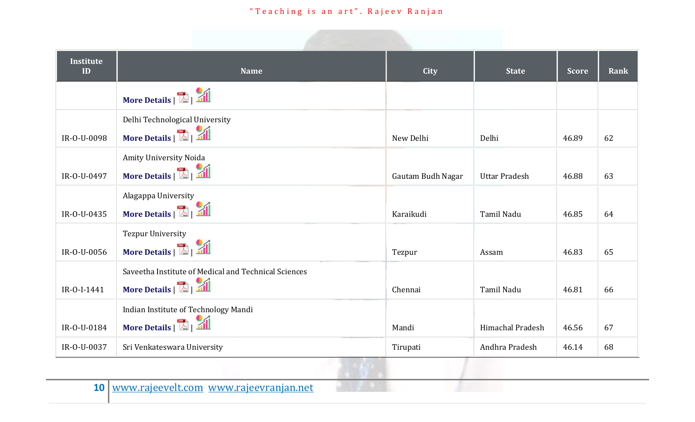| Institute<br>ID | <b>Name</b>                                          | <b>City</b>       | <b>State</b>         | <b>Score</b> | Rank |
|-----------------|------------------------------------------------------|-------------------|----------------------|--------------|------|
|                 | More Details   <b>All</b>                            |                   |                      |              |      |
|                 | Delhi Technological University                       |                   |                      |              |      |
| IR-0-U-0098     | More Details   <b>All</b>                            | New Delhi         | Delhi                | 46.89        | 62   |
|                 | Amity University Noida                               |                   |                      |              |      |
| IR-0-U-0497     | More Details   <b>All</b>                            | Gautam Budh Nagar | <b>Uttar Pradesh</b> | 46.88        | 63   |
|                 | Alagappa University                                  |                   |                      |              |      |
| IR-0-U-0435     | More Details   <b>All</b>                            | Karaikudi         | Tamil Nadu           | 46.85        | 64   |
|                 | <b>Tezpur University</b>                             |                   |                      |              |      |
| IR-0-U-0056     | More Details   <b>All</b>                            | Tezpur            | Assam                | 46.83        | 65   |
|                 | Saveetha Institute of Medical and Technical Sciences |                   |                      |              |      |
| IR-0-I-1441     | More Details   <b>All</b>                            | Chennai           | Tamil Nadu           | 46.81        | 66   |
|                 | Indian Institute of Technology Mandi                 |                   |                      |              |      |
| IR-0-U-0184     | More Details   <b>All</b>                            | Mandi             | Himachal Pradesh     | 46.56        | 67   |
| IR-O-U-0037     | Sri Venkateswara University                          | Tirupati          | Andhra Pradesh       | 46.14        | 68   |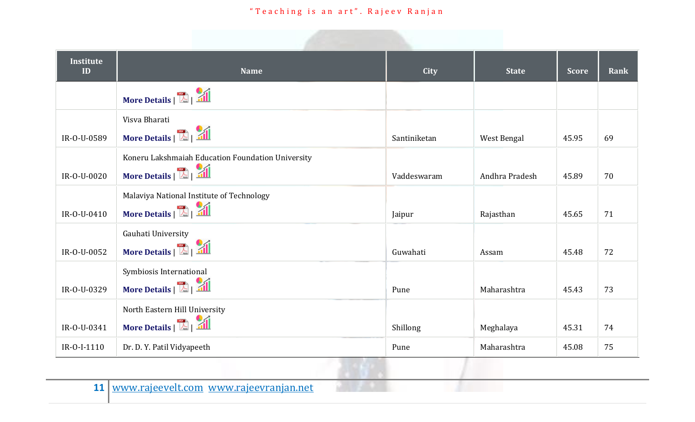| <b>Institute</b><br>ID | <b>Name</b>                                       | <b>City</b>  | <b>State</b>   | <b>Score</b> | Rank |
|------------------------|---------------------------------------------------|--------------|----------------|--------------|------|
|                        | More Details   <b>All</b>                         |              |                |              |      |
|                        | Visva Bharati                                     |              |                |              |      |
| IR-0-U-0589            | More Details   <b>All</b>                         | Santiniketan | West Bengal    | 45.95        | 69   |
|                        | Koneru Lakshmaiah Education Foundation University |              |                |              |      |
| IR-0-U-0020            | More Details   <b>All</b>                         | Vaddeswaram  | Andhra Pradesh | 45.89        | 70   |
|                        | Malaviya National Institute of Technology         |              |                |              |      |
| IR-0-U-0410            | More Details   <b>All</b>                         | Jaipur       | Rajasthan      | 45.65        | 71   |
|                        | Gauhati University                                |              |                |              |      |
| IR-0-U-0052            | More Details   <b>All</b>                         | Guwahati     | Assam          | 45.48        | 72   |
|                        | Symbiosis International                           |              |                |              |      |
| IR-0-U-0329            | More Details   <b>All</b>                         | Pune         | Maharashtra    | 45.43        | 73   |
|                        | North Eastern Hill University                     |              |                |              |      |
| IR-0-U-0341            | More Details   <b>All</b>                         | Shillong     | Meghalaya      | 45.31        | 74   |
| IR-0-I-1110            | Dr. D. Y. Patil Vidyapeeth                        | Pune         | Maharashtra    | 45.08        | 75   |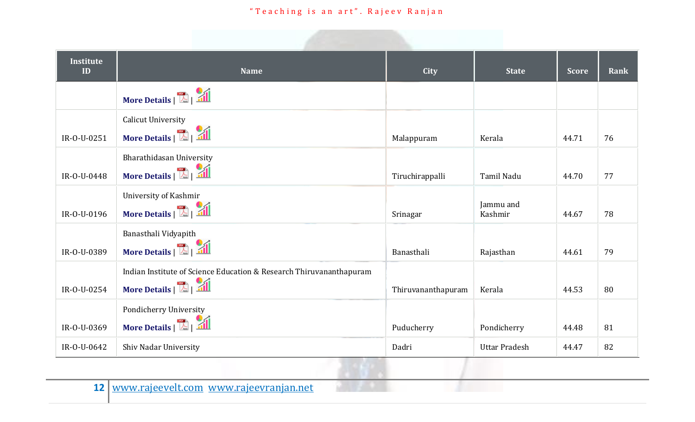| <b>Institute</b><br>ID | <b>Name</b>                                                         | <b>City</b>        | <b>State</b>         | <b>Score</b> | Rank |
|------------------------|---------------------------------------------------------------------|--------------------|----------------------|--------------|------|
|                        | More Details   <b>All</b>                                           |                    |                      |              |      |
|                        | <b>Calicut University</b>                                           |                    |                      |              |      |
| IR-0-U-0251            | More Details   <b>All</b>                                           | Malappuram         | Kerala               | 44.71        | 76   |
|                        | Bharathidasan University                                            |                    |                      |              |      |
| IR-0-U-0448            | More Details   <b>All</b>                                           | Tiruchirappalli    | Tamil Nadu           | 44.70        | 77   |
|                        | University of Kashmir                                               |                    |                      |              |      |
| IR-0-U-0196            | More Details   <b>All</b>                                           | Srinagar           | Jammu and<br>Kashmir | 44.67        | 78   |
|                        | Banasthali Vidyapith                                                |                    |                      |              |      |
| IR-0-U-0389            | More Details   <b>All</b>                                           | Banasthali         | Rajasthan            | 44.61        | 79   |
|                        | Indian Institute of Science Education & Research Thiruvananthapuram |                    |                      |              |      |
| IR-0-U-0254            | More Details   <b>All</b>                                           | Thiruvananthapuram | Kerala               | 44.53        | 80   |
|                        | Pondicherry University                                              |                    |                      |              |      |
| IR-0-U-0369            | More Details   <b>All</b>                                           | Puducherry         | Pondicherry          | 44.48        | 81   |
| IR-0-U-0642            | Shiv Nadar University                                               | Dadri              | <b>Uttar Pradesh</b> | 44.47        | 82   |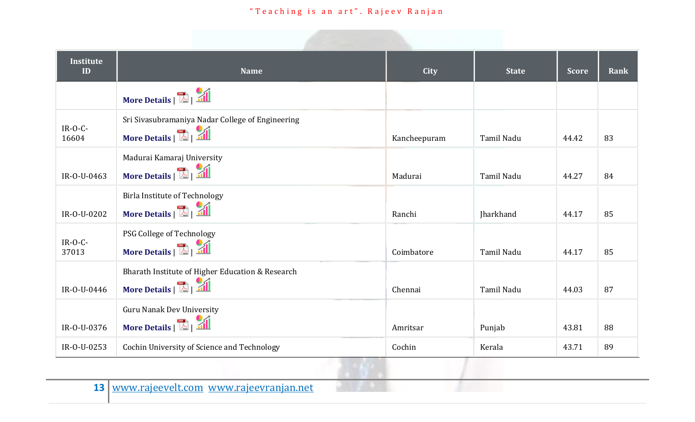| <b>Institute</b><br>ID | <b>Name</b>                                                                            | City         | <b>State</b>      | <b>Score</b> | Rank |
|------------------------|----------------------------------------------------------------------------------------|--------------|-------------------|--------------|------|
|                        | More Details   <b>All</b>                                                              |              |                   |              |      |
| $IR-O-C$ -<br>16604    | Sri Sivasubramaniya Nadar College of Engineering<br>More Details   <b>A</b>   <b>A</b> | Kancheepuram | Tamil Nadu        | 44.42        | 83   |
| IR-0-U-0463            | Madurai Kamaraj University<br>More Details   <b>A</b>   <b>A</b>                       | Madurai      | <b>Tamil Nadu</b> | 44.27        | 84   |
| IR-0-U-0202            | Birla Institute of Technology<br>More Details   <b>All</b>                             | Ranchi       | Jharkhand         | 44.17        | 85   |
| $IR-O-C$ -<br>37013    | PSG College of Technology<br>More Details $\ \cdot\ $                                  | Coimbatore   | Tamil Nadu        | 44.17        | 85   |
| IR-0-U-0446            | Bharath Institute of Higher Education & Research<br>More Details   <b>A</b>   <b>A</b> | Chennai      | <b>Tamil Nadu</b> | 44.03        | 87   |
| IR-0-U-0376            | <b>Guru Nanak Dev University</b><br>More Details   <b>All</b>                          | Amritsar     | Punjab            | 43.81        | 88   |
| IR-0-U-0253            | Cochin University of Science and Technology                                            | Cochin       | Kerala            | 43.71        | 89   |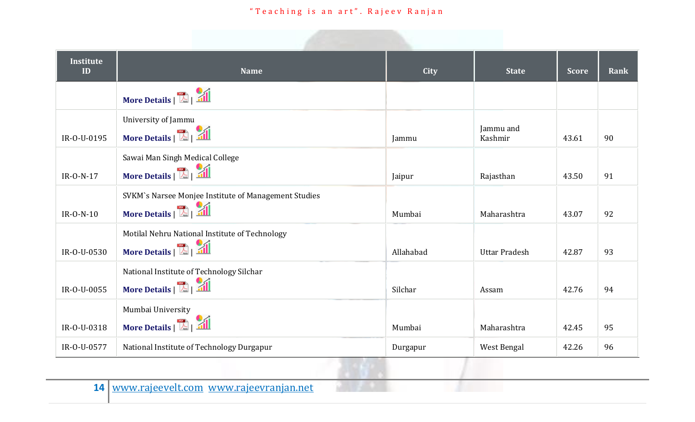| <b>Institute</b><br>ID | <b>Name</b>                                          | City      | <b>State</b>         | <b>Score</b> | Rank |
|------------------------|------------------------------------------------------|-----------|----------------------|--------------|------|
|                        | More Details   <b>All</b>                            |           |                      |              |      |
|                        | University of Jammu                                  |           | Jammu and            |              |      |
| IR-0-U-0195            | More Details   <b>All</b>                            | Jammu     | Kashmir              | 43.61        | 90   |
|                        | Sawai Man Singh Medical College                      |           |                      |              |      |
| $IR-O-N-17$            | More Details   <b>All</b>                            | Jaipur    | Rajasthan            | 43.50        | 91   |
|                        | SVKM's Narsee Monjee Institute of Management Studies |           |                      |              |      |
| $IR-O-N-10$            | More Details   <b>All</b>                            | Mumbai    | Maharashtra          | 43.07        | 92   |
|                        | Motilal Nehru National Institute of Technology       |           |                      |              |      |
| IR-0-U-0530            | More Details   <b>All</b>                            | Allahabad | <b>Uttar Pradesh</b> | 42.87        | 93   |
|                        | National Institute of Technology Silchar             |           |                      |              |      |
| IR-O-U-0055            | More Details   <b>All</b>                            | Silchar   | Assam                | 42.76        | 94   |
|                        | Mumbai University                                    |           |                      |              |      |
| IR-0-U-0318            | More Details   <b>All</b>                            | Mumbai    | Maharashtra          | 42.45        | 95   |
| IR-0-U-0577            | National Institute of Technology Durgapur            | Durgapur  | West Bengal          | 42.26        | 96   |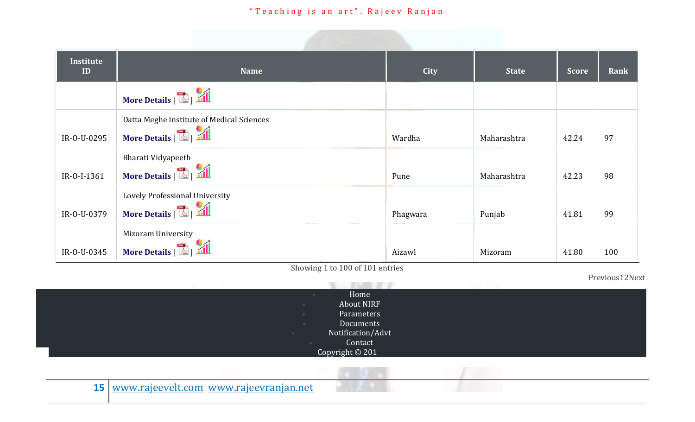| <b>Institute</b><br>ID | <b>Name</b>                                                 | City     | <b>State</b> | <b>Score</b> | Rank |
|------------------------|-------------------------------------------------------------|----------|--------------|--------------|------|
|                        | More Details   <b>All</b>                                   |          |              |              |      |
|                        | Datta Meghe Institute of Medical Sciences                   |          |              |              |      |
| IR-0-U-0295            | More Details   <b>E</b>   <b>All</b>                        | Wardha   | Maharashtra  | 42.24        | 97   |
| IR-0-I-1361            | Bharati Vidyapeeth<br>More Details   <b>All</b>             | Pune     | Maharashtra  | 42.23        | 98   |
| IR-0-U-0379            | Lovely Professional University<br>More Details   <b>All</b> | Phagwara | Punjab       | 41.81        | 99   |
| IR-0-U-0345            | <b>Mizoram University</b><br>More Details   <b>All</b>      | Aizawl   | Mizoram      | 41.80        | 100  |

Showing 1 to 100 of 101 entries

Previous12Next

|                   | -------------- |
|-------------------|----------------|
| Home              |                |
| About NIRF<br>- 6 |                |
| Parameters        |                |
| Documents         |                |
| Notification/Advt |                |
| Contact           |                |
| Copyright © 201   |                |